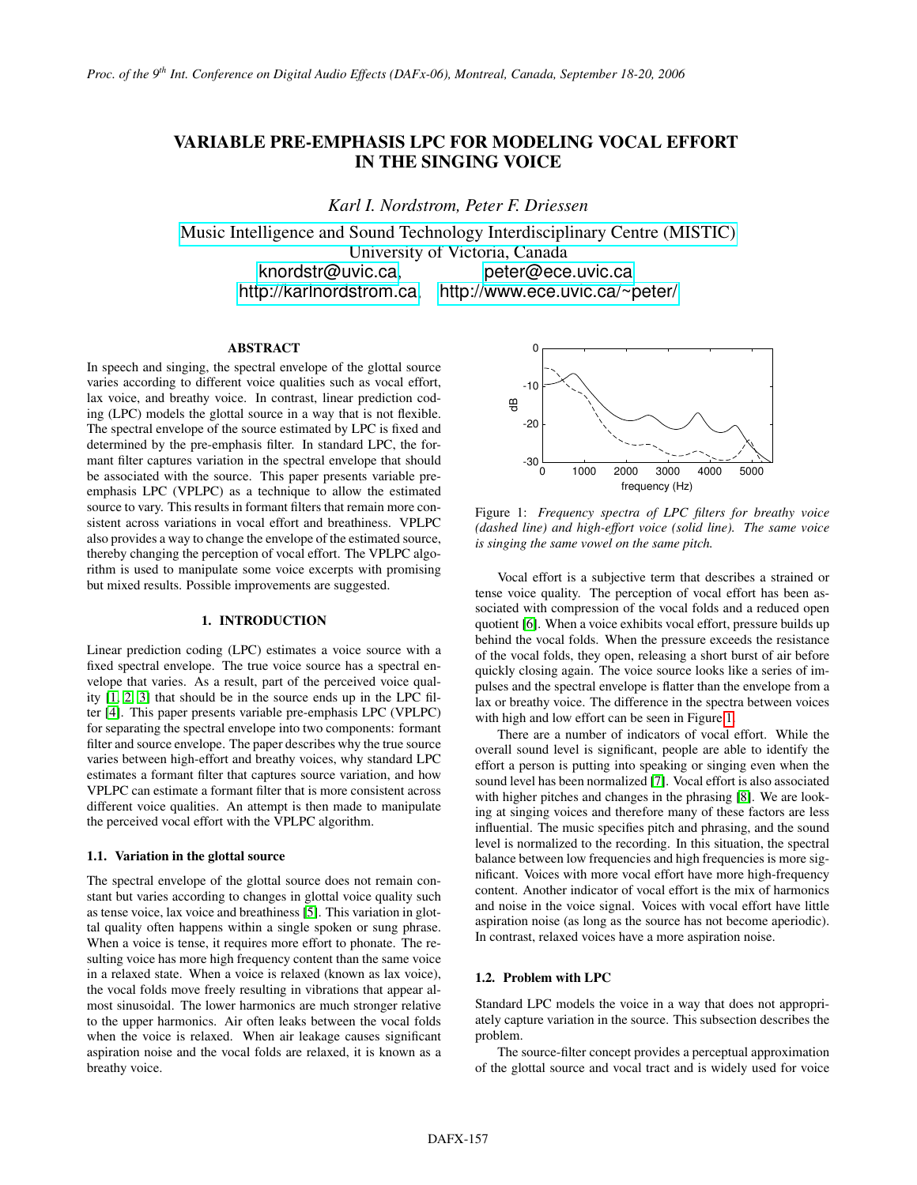# VARIABLE PRE-EMPHASIS LPC FOR MODELING VOCAL EFFORT IN THE SINGING VOICE

*Karl I. Nordstrom, Peter F. Driessen*

[Music Intelligence and Sound Technology Interdisciplinary Centre \(MISTIC\)](http://www.mistic.ece.uvic.ca) University of Victoria, Canada [knordstr@uvic.ca](mailto:knordstr@uvic.ca), [peter@ece.uvic.ca](mailto:peter@ece.uvic.ca) <http://karlnordstrom.ca>, <http://www.ece.uvic.ca/~peter/>

## ABSTRACT

In speech and singing, the spectral envelope of the glottal source varies according to different voice qualities such as vocal effort, lax voice, and breathy voice. In contrast, linear prediction coding (LPC) models the glottal source in a way that is not flexible. The spectral envelope of the source estimated by LPC is fixed and determined by the pre-emphasis filter. In standard LPC, the formant filter captures variation in the spectral envelope that should be associated with the source. This paper presents variable preemphasis LPC (VPLPC) as a technique to allow the estimated source to vary. This results in formant filters that remain more consistent across variations in vocal effort and breathiness. VPLPC also provides a way to change the envelope of the estimated source, thereby changing the perception of vocal effort. The VPLPC algorithm is used to manipulate some voice excerpts with promising but mixed results. Possible improvements are suggested.

#### 1. INTRODUCTION

Linear prediction coding (LPC) estimates a voice source with a fixed spectral envelope. The true voice source has a spectral envelope that varies. As a result, part of the perceived voice quality [\[1,](#page-3-0) [2,](#page-3-1) [3\]](#page-3-2) that should be in the source ends up in the LPC filter [\[4\]](#page-3-3). This paper presents variable pre-emphasis LPC (VPLPC) for separating the spectral envelope into two components: formant filter and source envelope. The paper describes why the true source varies between high-effort and breathy voices, why standard LPC estimates a formant filter that captures source variation, and how VPLPC can estimate a formant filter that is more consistent across different voice qualities. An attempt is then made to manipulate the perceived vocal effort with the VPLPC algorithm.

#### 1.1. Variation in the glottal source

The spectral envelope of the glottal source does not remain constant but varies according to changes in glottal voice quality such as tense voice, lax voice and breathiness [\[5\]](#page-3-4). This variation in glottal quality often happens within a single spoken or sung phrase. When a voice is tense, it requires more effort to phonate. The resulting voice has more high frequency content than the same voice in a relaxed state. When a voice is relaxed (known as lax voice), the vocal folds move freely resulting in vibrations that appear almost sinusoidal. The lower harmonics are much stronger relative to the upper harmonics. Air often leaks between the vocal folds when the voice is relaxed. When air leakage causes significant aspiration noise and the vocal folds are relaxed, it is known as a breathy voice.

<span id="page-0-0"></span>

Figure 1: *Frequency spectra of LPC filters for breathy voice (dashed line) and high-effort voice (solid line). The same voice is singing the same vowel on the same pitch.*

Vocal effort is a subjective term that describes a strained or tense voice quality. The perception of vocal effort has been associated with compression of the vocal folds and a reduced open quotient [\[6\]](#page-3-5). When a voice exhibits vocal effort, pressure builds up behind the vocal folds. When the pressure exceeds the resistance of the vocal folds, they open, releasing a short burst of air before quickly closing again. The voice source looks like a series of impulses and the spectral envelope is flatter than the envelope from a lax or breathy voice. The difference in the spectra between voices with high and low effort can be seen in Figure [1.](#page-0-0)

There are a number of indicators of vocal effort. While the overall sound level is significant, people are able to identify the effort a person is putting into speaking or singing even when the sound level has been normalized [\[7\]](#page-3-6). Vocal effort is also associated with higher pitches and changes in the phrasing [\[8\]](#page-3-7). We are looking at singing voices and therefore many of these factors are less influential. The music specifies pitch and phrasing, and the sound level is normalized to the recording. In this situation, the spectral balance between low frequencies and high frequencies is more significant. Voices with more vocal effort have more high-frequency content. Another indicator of vocal effort is the mix of harmonics and noise in the voice signal. Voices with vocal effort have little aspiration noise (as long as the source has not become aperiodic). In contrast, relaxed voices have a more aspiration noise.

## 1.2. Problem with LPC

Standard LPC models the voice in a way that does not appropriately capture variation in the source. This subsection describes the problem.

The source-filter concept provides a perceptual approximation of the glottal source and vocal tract and is widely used for voice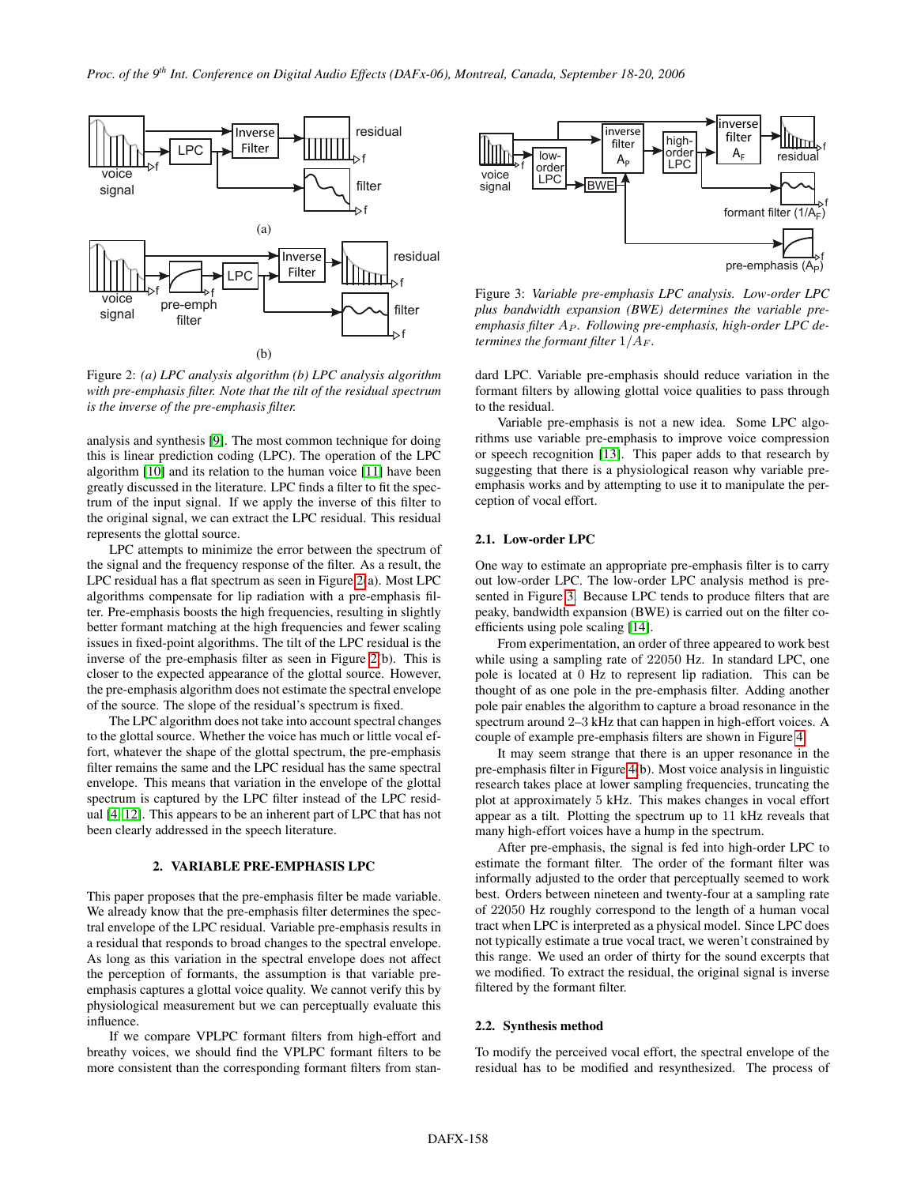<span id="page-1-0"></span>

Figure 2: *(a) LPC analysis algorithm (b) LPC analysis algorithm with pre-emphasis filter. Note that the tilt of the residual spectrum is the inverse of the pre-emphasis filter.*

analysis and synthesis [\[9\]](#page-3-8). The most common technique for doing this is linear prediction coding (LPC). The operation of the LPC algorithm [\[10\]](#page-3-9) and its relation to the human voice [\[11\]](#page-3-10) have been greatly discussed in the literature. LPC finds a filter to fit the spectrum of the input signal. If we apply the inverse of this filter to the original signal, we can extract the LPC residual. This residual represents the glottal source.

LPC attempts to minimize the error between the spectrum of the signal and the frequency response of the filter. As a result, the LPC residual has a flat spectrum as seen in Figure [2\(](#page-1-0)a). Most LPC algorithms compensate for lip radiation with a pre-emphasis filter. Pre-emphasis boosts the high frequencies, resulting in slightly better formant matching at the high frequencies and fewer scaling issues in fixed-point algorithms. The tilt of the LPC residual is the inverse of the pre-emphasis filter as seen in Figure [2\(](#page-1-0)b). This is closer to the expected appearance of the glottal source. However, the pre-emphasis algorithm does not estimate the spectral envelope of the source. The slope of the residual's spectrum is fixed.

The LPC algorithm does not take into account spectral changes to the glottal source. Whether the voice has much or little vocal effort, whatever the shape of the glottal spectrum, the pre-emphasis filter remains the same and the LPC residual has the same spectral envelope. This means that variation in the envelope of the glottal spectrum is captured by the LPC filter instead of the LPC residual [\[4,](#page-3-3) [12\]](#page-3-11). This appears to be an inherent part of LPC that has not been clearly addressed in the speech literature.

### 2. VARIABLE PRE-EMPHASIS LPC

This paper proposes that the pre-emphasis filter be made variable. We already know that the pre-emphasis filter determines the spectral envelope of the LPC residual. Variable pre-emphasis results in a residual that responds to broad changes to the spectral envelope. As long as this variation in the spectral envelope does not affect the perception of formants, the assumption is that variable preemphasis captures a glottal voice quality. We cannot verify this by physiological measurement but we can perceptually evaluate this influence.

If we compare VPLPC formant filters from high-effort and breathy voices, we should find the VPLPC formant filters to be more consistent than the corresponding formant filters from stan-

<span id="page-1-1"></span>

Figure 3: *Variable pre-emphasis LPC analysis. Low-order LPC plus bandwidth expansion (BWE) determines the variable pre*emphasis filter A<sub>P</sub>. Following pre-emphasis, high-order LPC de*termines the formant filter*  $1/A_F$ *.* 

dard LPC. Variable pre-emphasis should reduce variation in the formant filters by allowing glottal voice qualities to pass through to the residual.

Variable pre-emphasis is not a new idea. Some LPC algorithms use variable pre-emphasis to improve voice compression or speech recognition [\[13\]](#page-3-12). This paper adds to that research by suggesting that there is a physiological reason why variable preemphasis works and by attempting to use it to manipulate the perception of vocal effort.

#### 2.1. Low-order LPC

One way to estimate an appropriate pre-emphasis filter is to carry out low-order LPC. The low-order LPC analysis method is presented in Figure [3.](#page-1-1) Because LPC tends to produce filters that are peaky, bandwidth expansion (BWE) is carried out on the filter coefficients using pole scaling [\[14\]](#page-3-13).

From experimentation, an order of three appeared to work best while using a sampling rate of 22050 Hz. In standard LPC, one pole is located at 0 Hz to represent lip radiation. This can be thought of as one pole in the pre-emphasis filter. Adding another pole pair enables the algorithm to capture a broad resonance in the spectrum around 2–3 kHz that can happen in high-effort voices. A couple of example pre-emphasis filters are shown in Figure [4.](#page-2-0)

It may seem strange that there is an upper resonance in the pre-emphasis filter in Figure [4\(](#page-2-0)b). Most voice analysis in linguistic research takes place at lower sampling frequencies, truncating the plot at approximately 5 kHz. This makes changes in vocal effort appear as a tilt. Plotting the spectrum up to 11 kHz reveals that many high-effort voices have a hump in the spectrum.

After pre-emphasis, the signal is fed into high-order LPC to estimate the formant filter. The order of the formant filter was informally adjusted to the order that perceptually seemed to work best. Orders between nineteen and twenty-four at a sampling rate of 22050 Hz roughly correspond to the length of a human vocal tract when LPC is interpreted as a physical model. Since LPC does not typically estimate a true vocal tract, we weren't constrained by this range. We used an order of thirty for the sound excerpts that we modified. To extract the residual, the original signal is inverse filtered by the formant filter.

## <span id="page-1-2"></span>2.2. Synthesis method

To modify the perceived vocal effort, the spectral envelope of the residual has to be modified and resynthesized. The process of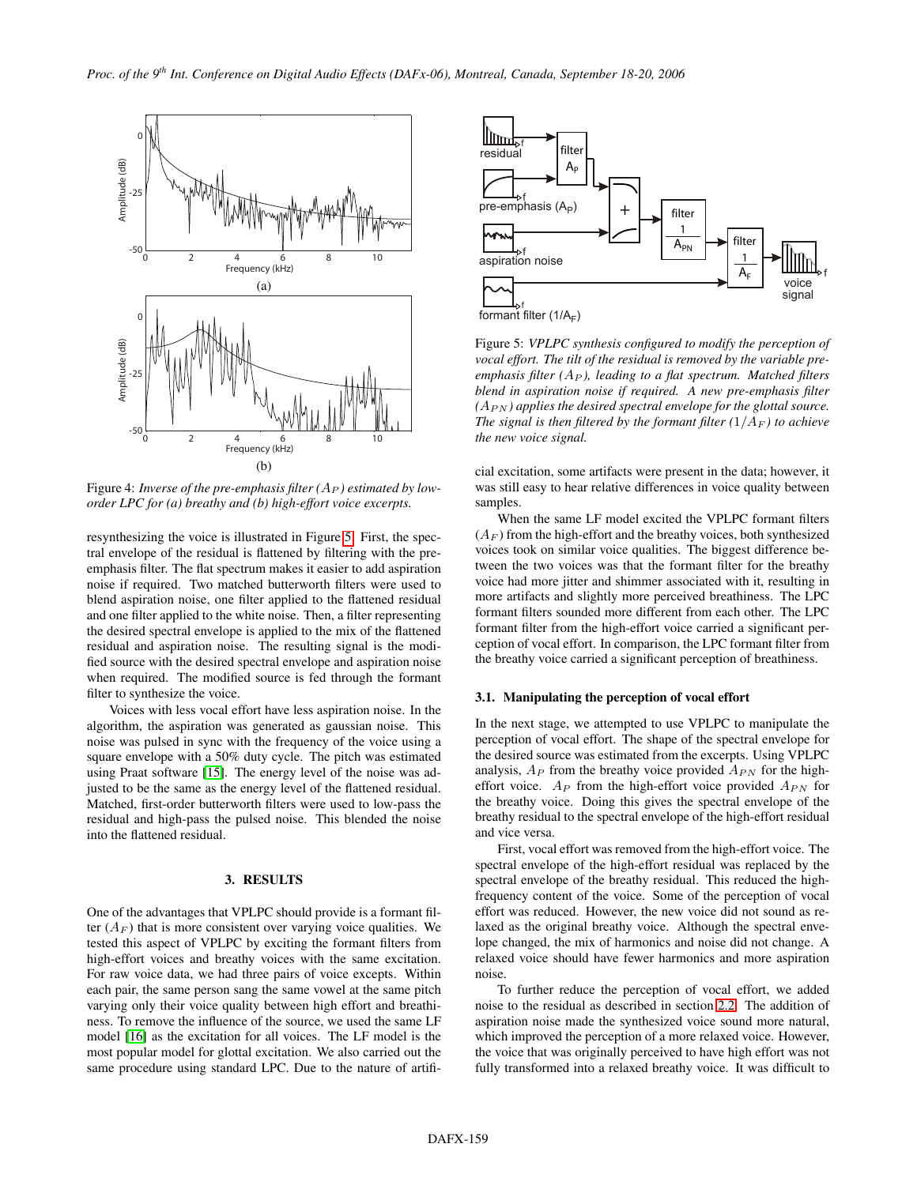<span id="page-2-0"></span>

Figure 4: *Inverse of the pre-emphasis filter*  $(A_P)$  *estimated by loworder LPC for (a) breathy and (b) high-effort voice excerpts.*

resynthesizing the voice is illustrated in Figure [5.](#page-2-1) First, the spectral envelope of the residual is flattened by filtering with the preemphasis filter. The flat spectrum makes it easier to add aspiration noise if required. Two matched butterworth filters were used to blend aspiration noise, one filter applied to the flattened residual and one filter applied to the white noise. Then, a filter representing the desired spectral envelope is applied to the mix of the flattened residual and aspiration noise. The resulting signal is the modified source with the desired spectral envelope and aspiration noise when required. The modified source is fed through the formant filter to synthesize the voice.

Voices with less vocal effort have less aspiration noise. In the algorithm, the aspiration was generated as gaussian noise. This noise was pulsed in sync with the frequency of the voice using a square envelope with a 50% duty cycle. The pitch was estimated using Praat software [\[15\]](#page-3-14). The energy level of the noise was adjusted to be the same as the energy level of the flattened residual. Matched, first-order butterworth filters were used to low-pass the residual and high-pass the pulsed noise. This blended the noise into the flattened residual.

#### 3. RESULTS

One of the advantages that VPLPC should provide is a formant filter  $(A_F)$  that is more consistent over varying voice qualities. We tested this aspect of VPLPC by exciting the formant filters from high-effort voices and breathy voices with the same excitation. For raw voice data, we had three pairs of voice excepts. Within each pair, the same person sang the same vowel at the same pitch varying only their voice quality between high effort and breathiness. To remove the influence of the source, we used the same LF model [\[16\]](#page-3-15) as the excitation for all voices. The LF model is the most popular model for glottal excitation. We also carried out the same procedure using standard LPC. Due to the nature of artifi-

<span id="page-2-1"></span>

Figure 5: *VPLPC synthesis configured to modify the perception of vocal effort. The tilt of the residual is removed by the variable preemphasis filter*  $(A_P)$ *, leading to a flat spectrum. Matched filters blend in aspiration noise if required. A new pre-emphasis filter*  $(A_{PN})$  *applies the desired spectral envelope for the glottal source. The signal is then filtered by the formant filter*  $(1/A_F)$  *to achieve the new voice signal.*

cial excitation, some artifacts were present in the data; however, it was still easy to hear relative differences in voice quality between samples.

When the same LF model excited the VPLPC formant filters  $(A_F)$  from the high-effort and the breathy voices, both synthesized voices took on similar voice qualities. The biggest difference between the two voices was that the formant filter for the breathy voice had more jitter and shimmer associated with it, resulting in more artifacts and slightly more perceived breathiness. The LPC formant filters sounded more different from each other. The LPC formant filter from the high-effort voice carried a significant perception of vocal effort. In comparison, the LPC formant filter from the breathy voice carried a significant perception of breathiness.

### 3.1. Manipulating the perception of vocal effort

In the next stage, we attempted to use VPLPC to manipulate the perception of vocal effort. The shape of the spectral envelope for the desired source was estimated from the excerpts. Using VPLPC analysis,  $A_P$  from the breathy voice provided  $A_{PN}$  for the higheffort voice.  $A_P$  from the high-effort voice provided  $A_{PN}$  for the breathy voice. Doing this gives the spectral envelope of the breathy residual to the spectral envelope of the high-effort residual and vice versa.

First, vocal effort was removed from the high-effort voice. The spectral envelope of the high-effort residual was replaced by the spectral envelope of the breathy residual. This reduced the highfrequency content of the voice. Some of the perception of vocal effort was reduced. However, the new voice did not sound as relaxed as the original breathy voice. Although the spectral envelope changed, the mix of harmonics and noise did not change. A relaxed voice should have fewer harmonics and more aspiration noise.

To further reduce the perception of vocal effort, we added noise to the residual as described in section [2.2.](#page-1-2) The addition of aspiration noise made the synthesized voice sound more natural, which improved the perception of a more relaxed voice. However, the voice that was originally perceived to have high effort was not fully transformed into a relaxed breathy voice. It was difficult to